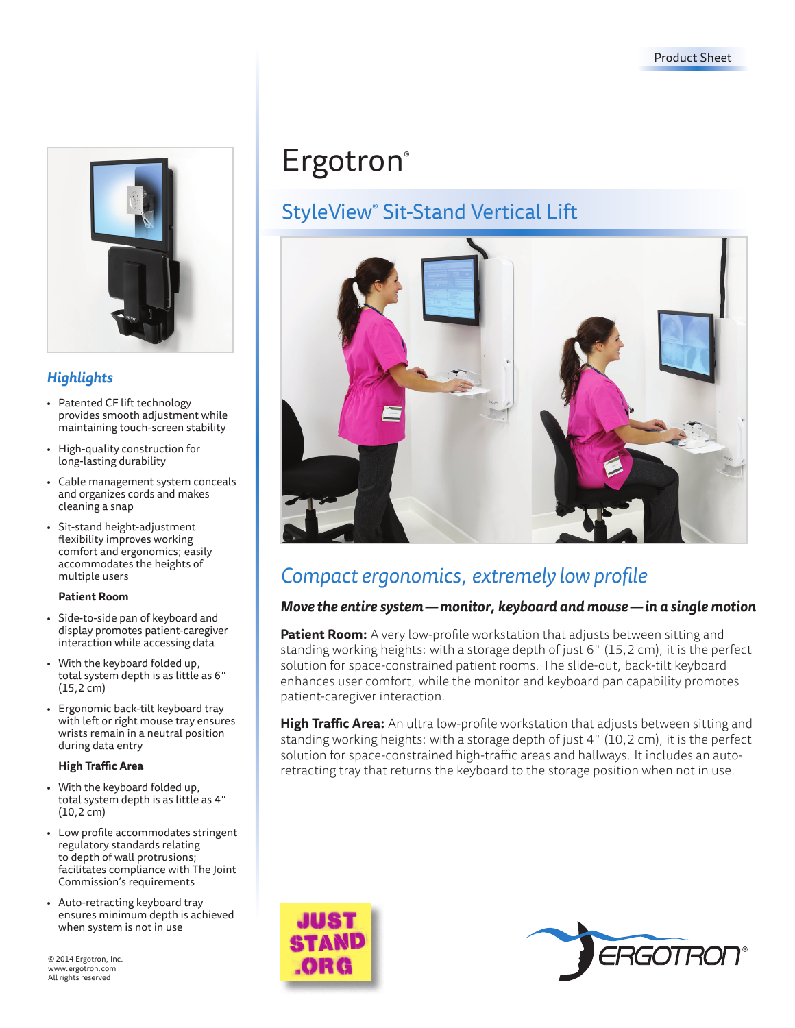

# *Highlights*

- Patented CF lift technology provides smooth adjustment while maintaining touch-screen stability
- High-quality construction for long-lasting durability
- Cable management system conceals and organizes cords and makes cleaning a snap
- Sit-stand height-adjustment flexibility improves working comfort and ergonomics; easily accommodates the heights of multiple users

#### **Patient Room**

- Side-to-side pan of keyboard and display promotes patient-caregiver interaction while accessing data
- With the keyboard folded up, total system depth is as little as 6" (15,2 cm)
- Ergonomic back-tilt keyboard tray with left or right mouse tray ensures wrists remain in a neutral position during data entry

### **High Traffic Area**

- With the keyboard folded up, total system depth is as little as 4" (10,2 cm)
- Low profile accommodates stringent regulatory standards relating to depth of wall protrusions; facilitates compliance with The Joint Commission's requirements
- Auto-retracting keyboard tray ensures minimum depth is achieved when system is not in use

© 2014 Ergotron, Inc. www.ergotron.com All rights reserved

# **Ergotron**®

# StyleView® Sit-Stand Vertical Lift



# *Compact ergonomics, extremely low profile*

# *Move the entire system—monitor, keyboard and mouse —in a single motion*

**Patient Room:** A very low-profile workstation that adjusts between sitting and standing working heights: with a storage depth of just 6" (15,2 cm), it is the perfect solution for space-constrained patient rooms. The slide-out, back-tilt keyboard enhances user comfort, while the monitor and keyboard pan capability promotes patient-caregiver interaction.

**High Traffic Area:** An ultra low-profile workstation that adjusts between sitting and standing working heights: with a storage depth of just 4" (10,2 cm), it is the perfect solution for space-constrained high-traffic areas and hallways. It includes an autoretracting tray that returns the keyboard to the storage position when not in use.